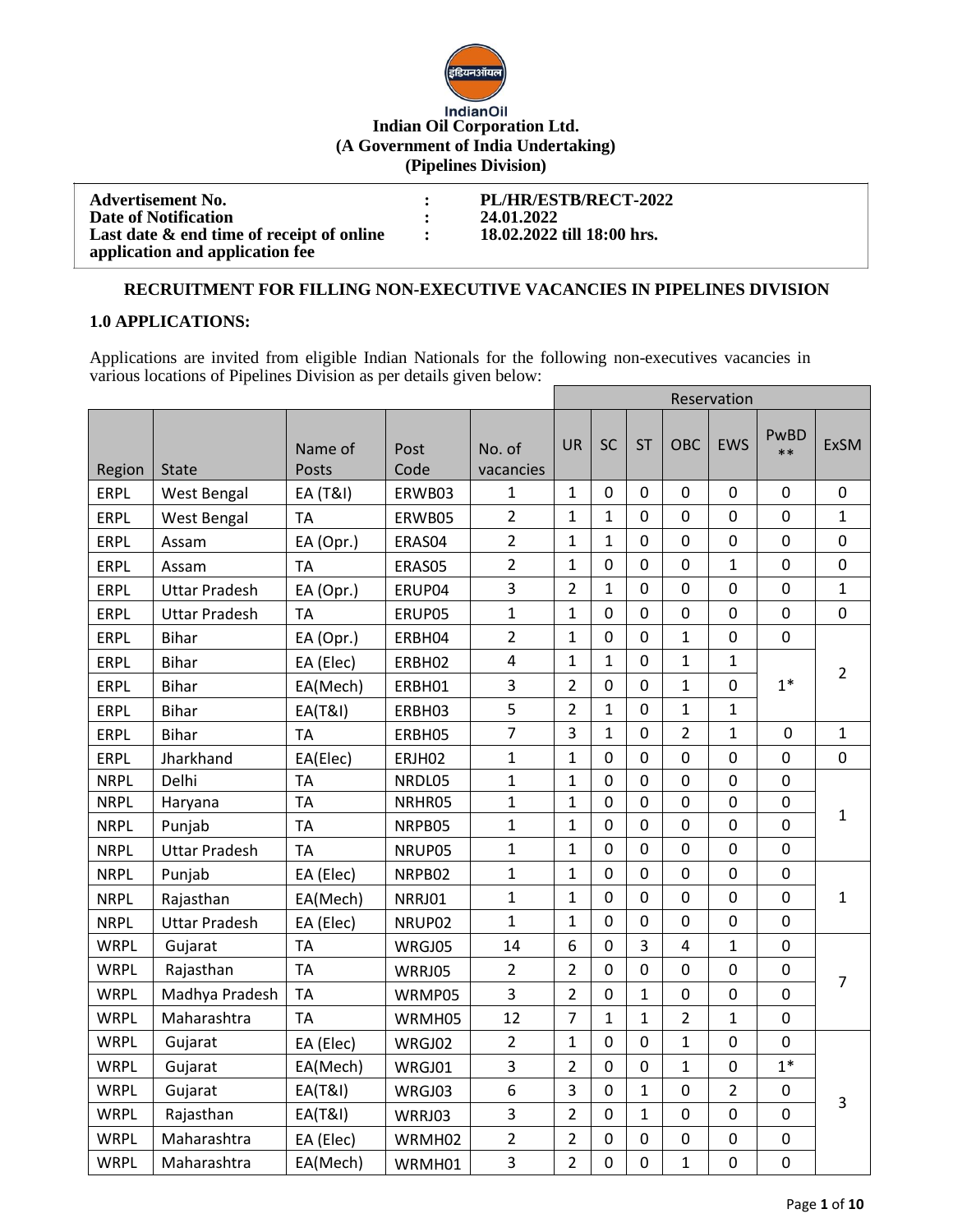

# **Indian Oil Corporation Ltd. (A Government of India Undertaking) (Pipelines Division)**

| <b>Advertisement No.</b>                  | PL/HR/ESTB/RECT-2022       |
|-------------------------------------------|----------------------------|
| Date of Notification                      | 24.01.2022                 |
| Last date & end time of receipt of online | 18.02.2022 till 18:00 hrs. |
| application and application fee           |                            |

#### **RECRUITMENT FOR FILLING NON-EXECUTIVE VACANCIES IN PIPELINES DIVISION**

#### **1.0 APPLICATIONS:**

Applications are invited from eligible Indian Nationals for the following non-executives vacancies in various locations of Pipelines Division as per details given below:

|             |                      |                    |              |                         | Reservation    |                |                |                |                |              |                |
|-------------|----------------------|--------------------|--------------|-------------------------|----------------|----------------|----------------|----------------|----------------|--------------|----------------|
| Region      | <b>State</b>         | Name of<br>Posts   | Post<br>Code | No. of<br>vacancies     | <b>UR</b>      | <b>SC</b>      | <b>ST</b>      | OBC            | <b>EWS</b>     | PwBD<br>$**$ | <b>ExSM</b>    |
| ERPL        | <b>West Bengal</b>   | EA (T&I)           | ERWB03       | $\mathbf{1}$            | $\mathbf{1}$   | 0              | $\mathbf{0}$   | 0              | $\mathbf{0}$   | 0            | $\mathbf 0$    |
| <b>ERPL</b> | West Bengal          | <b>TA</b>          | ERWB05       | $\overline{2}$          | $\mathbf{1}$   | $\mathbf{1}$   | $\mathbf 0$    | $\mathbf 0$    | 0              | 0            | $\mathbf{1}$   |
| <b>ERPL</b> | Assam                | EA (Opr.)          | ERAS04       | $\overline{2}$          | $\mathbf{1}$   | 1              | $\mathbf 0$    | $\Omega$       | $\mathbf 0$    | $\mathbf 0$  | 0              |
| <b>ERPL</b> | Assam                | <b>TA</b>          | ERAS05       | $\overline{2}$          | $\mathbf{1}$   | $\mathbf 0$    | $\mathbf 0$    | 0              | $\mathbf{1}$   | $\mathbf 0$  | 0              |
| <b>ERPL</b> | <b>Uttar Pradesh</b> | EA (Opr.)          | ERUP04       | 3                       | $\overline{2}$ | $\mathbf{1}$   | $\mathbf 0$    | $\mathbf 0$    | $\mathbf 0$    | $\mathbf 0$  | $\mathbf{1}$   |
| ERPL        | <b>Uttar Pradesh</b> | <b>TA</b>          | ERUP05       | $\mathbf{1}$            | $\mathbf{1}$   | $\overline{0}$ | $\mathbf 0$    | $\mathbf 0$    | $\mathbf 0$    | 0            | 0              |
| <b>ERPL</b> | <b>Bihar</b>         | EA (Opr.)          | ERBH04       | $\overline{2}$          | $\mathbf{1}$   | 0              | 0              | $\mathbf{1}$   | $\mathbf 0$    | $\mathbf 0$  |                |
| <b>ERPL</b> | <b>Bihar</b>         | EA (Elec)          | ERBH02       | $\overline{\mathbf{4}}$ | $\mathbf{1}$   | $\mathbf{1}$   | $\mathbf 0$    | $\mathbf{1}$   | $\mathbf{1}$   |              | $\overline{2}$ |
| <b>ERPL</b> | <b>Bihar</b>         | EA(Mech)           | ERBH01       | 3                       | $\overline{2}$ | $\overline{0}$ | $\overline{0}$ | $\mathbf{1}$   | $\overline{0}$ | $1*$         |                |
| <b>ERPL</b> | <b>Bihar</b>         | <b>EA(T&amp;I)</b> | ERBH03       | 5                       | $\overline{2}$ | 1              | $\overline{0}$ | $\mathbf{1}$   | $\mathbf{1}$   |              |                |
| <b>ERPL</b> | <b>Bihar</b>         | <b>TA</b>          | ERBH05       | $\overline{7}$          | 3              | $\mathbf{1}$   | $\mathbf 0$    | $\overline{2}$ | $\mathbf{1}$   | $\mathbf 0$  | $\mathbf{1}$   |
| <b>ERPL</b> | Jharkhand            | EA(Elec)           | ERJH02       | $\mathbf{1}$            | $\mathbf{1}$   | $\mathbf 0$    | $\mathbf 0$    | $\mathbf 0$    | $\mathbf 0$    | 0            | $\mathbf 0$    |
| <b>NRPL</b> | Delhi                | <b>TA</b>          | NRDL05       | $\mathbf{1}$            | $\mathbf{1}$   | $\mathbf 0$    | $\mathbf 0$    | $\overline{0}$ | $\mathbf 0$    | 0            | $\mathbf{1}$   |
| <b>NRPL</b> | Haryana              | <b>TA</b>          | NRHR05       | $\mathbf{1}$            | $\mathbf{1}$   | $\mathbf 0$    | $\mathbf 0$    | 0              | $\mathbf 0$    | 0            |                |
| <b>NRPL</b> | Punjab               | <b>TA</b>          | NRPB05       | $\mathbf{1}$            | $\mathbf{1}$   | $\overline{0}$ | $\overline{0}$ | $\Omega$       | $\mathbf 0$    | 0            |                |
| <b>NRPL</b> | <b>Uttar Pradesh</b> | <b>TA</b>          | NRUP05       | $\mathbf 1$             | $\mathbf{1}$   | $\mathbf 0$    | $\mathbf 0$    | $\mathbf 0$    | $\mathbf 0$    | $\mathbf 0$  |                |
| <b>NRPL</b> | Punjab               | EA (Elec)          | NRPB02       | $\mathbf{1}$            | $\mathbf{1}$   | $\mathbf 0$    | $\overline{0}$ | $\overline{0}$ | $\mathbf 0$    | $\mathbf 0$  |                |
| <b>NRPL</b> | Rajasthan            | EA(Mech)           | NRRJ01       | $\mathbf{1}$            | $\mathbf{1}$   | 0              | $\mathbf 0$    | $\mathbf 0$    | $\mathbf 0$    | $\mathbf 0$  | $\mathbf{1}$   |
| <b>NRPL</b> | <b>Uttar Pradesh</b> | EA (Elec)          | NRUP02       | $\mathbf{1}$            | $\mathbf{1}$   | $\mathbf 0$    | $\mathbf 0$    | $\mathbf 0$    | $\mathbf 0$    | 0            |                |
| <b>WRPL</b> | Gujarat              | <b>TA</b>          | WRGJ05       | 14                      | 6              | $\overline{0}$ | $\overline{3}$ | 4              | $\mathbf{1}$   | $\mathbf 0$  |                |
| <b>WRPL</b> | Rajasthan            | <b>TA</b>          | WRRJ05       | $\overline{2}$          | $\overline{2}$ | $\mathbf 0$    | $\overline{0}$ | 0              | $\mathbf 0$    | 0            | 7              |
| <b>WRPL</b> | Madhya Pradesh       | <b>TA</b>          | WRMP05       | 3                       | $\overline{2}$ | 0              | 1              | $\mathbf 0$    | $\mathbf 0$    | 0            |                |
| <b>WRPL</b> | Maharashtra          | <b>TA</b>          | WRMH05       | 12                      | $\overline{7}$ | $\mathbf{1}$   | $\mathbf{1}$   | $\overline{2}$ | $\mathbf{1}$   | $\mathbf 0$  |                |
| <b>WRPL</b> | Gujarat              | EA (Elec)          | WRGJ02       | $\overline{2}$          | $\mathbf{1}$   | $\mathbf 0$    | $\overline{0}$ | $\mathbf{1}$   | $\mathbf{0}$   | 0            |                |
| <b>WRPL</b> | Gujarat              | EA(Mech)           | WRGJ01       | 3                       | $\overline{2}$ | 0              | 0              | $\mathbf{1}$   | $\mathbf 0$    | $1*$         |                |
| <b>WRPL</b> | Gujarat              | <b>EA(T&amp;I)</b> | WRGJ03       | 6                       | 3              | $\mathbf 0$    | $\mathbf{1}$   | $\mathbf 0$    | $\overline{2}$ | $\mathbf 0$  | 3              |
| <b>WRPL</b> | Rajasthan            | <b>EA(T&amp;I)</b> | WRRJ03       | $\overline{3}$          | $\overline{2}$ | $\mathbf 0$    | $\mathbf{1}$   | $\mathbf 0$    | $\mathbf 0$    | $\mathbf 0$  |                |
| <b>WRPL</b> | Maharashtra          | EA (Elec)          | WRMH02       | $\overline{2}$          | $\overline{2}$ | $\mathbf 0$    | $\mathbf 0$    | $\mathbf 0$    | $\pmb{0}$      | $\pmb{0}$    |                |
| <b>WRPL</b> | Maharashtra          | EA(Mech)           | WRMH01       | $\overline{3}$          | $\overline{2}$ | $\mathbf 0$    | $\overline{0}$ | $\mathbf{1}$   | $\mathbf 0$    | $\mathbf 0$  |                |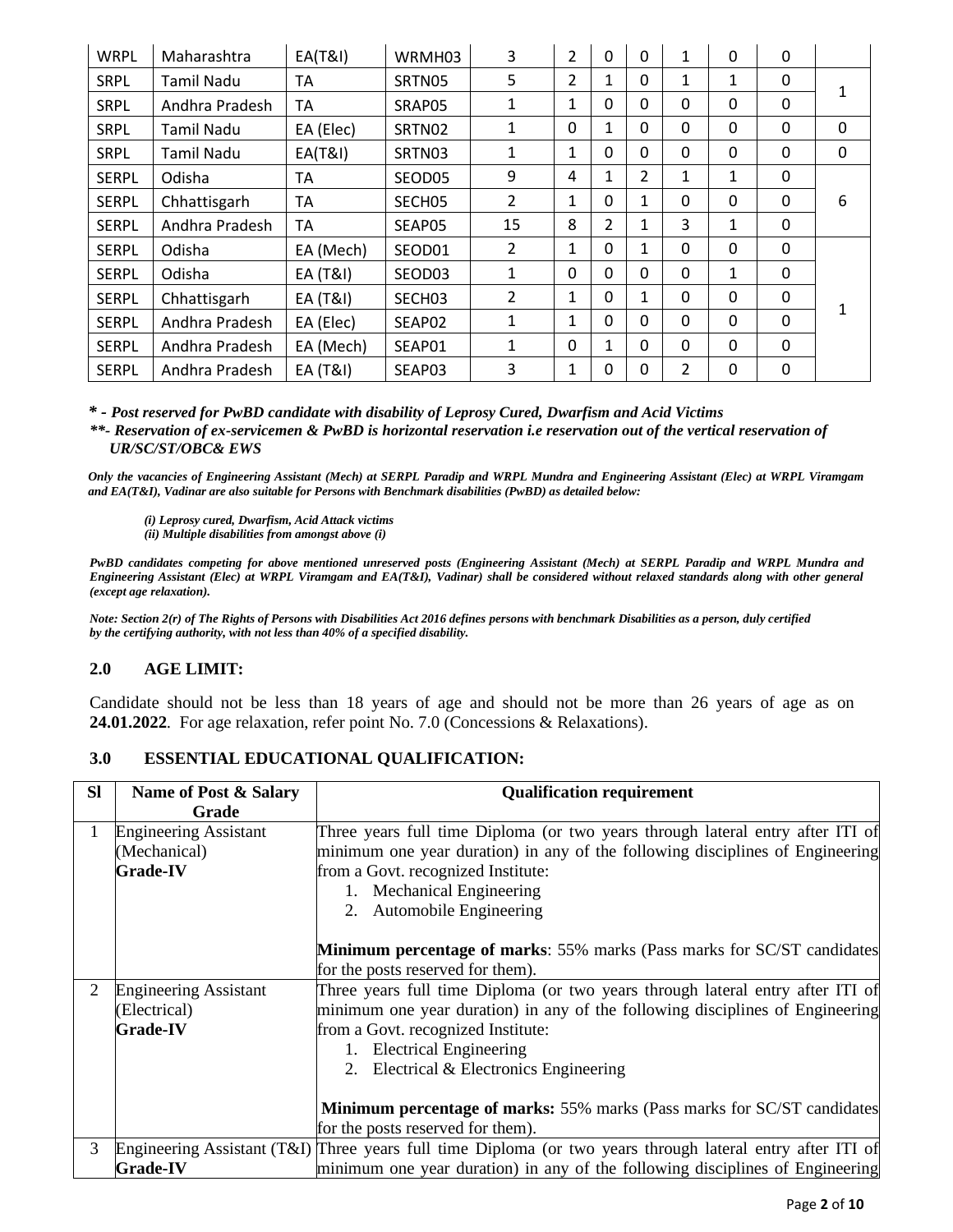| <b>WRPL</b>  | Maharashtra    | <b>EA(T&amp;I)</b>  | WRMH03             | 3              | $\overline{2}$ | 0            | 0            | $\mathbf{1}$   | 0            | 0            |   |
|--------------|----------------|---------------------|--------------------|----------------|----------------|--------------|--------------|----------------|--------------|--------------|---|
| <b>SRPL</b>  | Tamil Nadu     | ТA                  | SRTN05             | 5              | 2              | 1            | 0            | 1              | 1            | 0            |   |
| <b>SRPL</b>  | Andhra Pradesh | <b>TA</b>           | SRAP05             | 1              | 1              | $\mathbf{0}$ | 0            | 0              | $\mathbf{0}$ | $\Omega$     |   |
| <b>SRPL</b>  | Tamil Nadu     | EA (Elec)           | SRTN02             | 1              | $\mathbf{0}$   | $\mathbf{1}$ | 0            | 0              | 0            | $\Omega$     | 0 |
| <b>SRPL</b>  | Tamil Nadu     | <b>EA(T&amp;I)</b>  | SRTN03             | 1              | 1              | $\Omega$     | $\Omega$     | 0              | $\mathbf{0}$ | 0            | 0 |
| <b>SERPL</b> | Odisha         | ТA                  | SEOD05             | 9              | 4              | 1            | 2            | 1              | 1            | 0            |   |
| <b>SERPL</b> | Chhattisgarh   | ТA                  | SECH <sub>05</sub> | $\mathfrak{p}$ | 1              | $\mathbf{0}$ | 1            | 0              | 0            | $\mathbf{0}$ | 6 |
| <b>SERPL</b> | Andhra Pradesh | <b>TA</b>           | SEAP05             | 15             | 8              | 2            | 1            | 3              | 1            | $\mathbf{0}$ |   |
| <b>SERPL</b> | Odisha         | EA (Mech)           | SEOD01             | 2              | 1              | $\mathbf{0}$ | 1            | 0              | 0            | 0            |   |
| <b>SERPL</b> | Odisha         | <b>EA (T&amp;I)</b> | SEOD03             | $\mathbf{1}$   | $\mathbf{0}$   | 0            | 0            | 0              | 1            | 0            |   |
| <b>SERPL</b> | Chhattisgarh   | EA (T&I)            | SECH03             | $\overline{2}$ | 1              | $\Omega$     | $\mathbf{1}$ | 0              | 0            | $\Omega$     |   |
| <b>SERPL</b> | Andhra Pradesh | EA (Elec)           | SEAP02             | 1              | 1              | $\Omega$     | $\Omega$     | $\Omega$       | $\mathbf{0}$ | $\Omega$     |   |
| <b>SERPL</b> | Andhra Pradesh | EA (Mech)           | SEAP01             | 1              | $\mathbf{0}$   | 1            | 0            | 0              | 0            | $\Omega$     |   |
| <b>SERPL</b> | Andhra Pradesh | EA (T&I)            | SEAP03             | 3              | 1              | 0            | 0            | $\mathfrak{p}$ | 0            | $\mathbf{0}$ |   |

*\* - Post reserved for PwBD candidate with disability of Leprosy Cured, Dwarfism and Acid Victims*

*\*\*- Reservation of ex-servicemen & PwBD is horizontal reservation i.e reservation out of the vertical reservation of UR/SC/ST/OBC& EWS*

*Only the vacancies of Engineering Assistant (Mech) at SERPL Paradip and WRPL Mundra and Engineering Assistant (Elec) at WRPL Viramgam and EA(T&I), Vadinar are also suitable for Persons with Benchmark disabilities (PwBD) as detailed below:*

*(i) Leprosy cured, Dwarfism, Acid Attack victims*

*(ii) Multiple disabilities from amongst above (i)*

*PwBD candidates competing for above mentioned unreserved posts (Engineering Assistant (Mech) at SERPL Paradip and WRPL Mundra and Engineering Assistant (Elec) at WRPL Viramgam and EA(T&I), Vadinar) shall be considered without relaxed standards along with other general (except age relaxation).*

*Note: Section 2(r) of The Rights of Persons with Disabilities Act 2016 defines persons with benchmark Disabilities as a person, duly certified by the certifying authority, with not less than 40% of a specified disability.*

# **2.0 AGE LIMIT:**

Candidate should not be less than 18 years of age and should not be more than 26 years of age as on **24.01.2022**. For age relaxation, refer point No. 7.0 (Concessions & Relaxations).

## **3.0 ESSENTIAL EDUCATIONAL QUALIFICATION:**

| <b>SI</b> | Name of Post & Salary        | <b>Qualification requirement</b>                                                                           |  |  |  |  |  |
|-----------|------------------------------|------------------------------------------------------------------------------------------------------------|--|--|--|--|--|
|           | Grade                        |                                                                                                            |  |  |  |  |  |
| 1         | <b>Engineering Assistant</b> | Three years full time Diploma (or two years through lateral entry after ITI of                             |  |  |  |  |  |
|           | (Mechanical)                 | minimum one year duration) in any of the following disciplines of Engineering                              |  |  |  |  |  |
|           | <b>Grade-IV</b>              | from a Govt. recognized Institute:                                                                         |  |  |  |  |  |
|           |                              | 1. Mechanical Engineering                                                                                  |  |  |  |  |  |
|           |                              | 2. Automobile Engineering                                                                                  |  |  |  |  |  |
|           |                              |                                                                                                            |  |  |  |  |  |
|           |                              | Minimum percentage of marks: 55% marks (Pass marks for SC/ST candidates                                    |  |  |  |  |  |
|           |                              | for the posts reserved for them).                                                                          |  |  |  |  |  |
| 2         | <b>Engineering Assistant</b> | Three years full time Diploma (or two years through lateral entry after ITI of                             |  |  |  |  |  |
|           | (Electrical)                 | minimum one year duration) in any of the following disciplines of Engineering                              |  |  |  |  |  |
|           | <b>Grade-IV</b>              | from a Govt. recognized Institute:                                                                         |  |  |  |  |  |
|           |                              | 1. Electrical Engineering                                                                                  |  |  |  |  |  |
|           |                              | 2. Electrical & Electronics Engineering                                                                    |  |  |  |  |  |
|           |                              |                                                                                                            |  |  |  |  |  |
|           |                              | <b>Minimum percentage of marks: 55% marks (Pass marks for SC/ST candidates)</b>                            |  |  |  |  |  |
|           |                              | for the posts reserved for them).                                                                          |  |  |  |  |  |
| 3         |                              | Engineering Assistant (T&I) Three years full time Diploma (or two years through lateral entry after ITI of |  |  |  |  |  |
|           | <b>Grade-IV</b>              | minimum one year duration) in any of the following disciplines of Engineering                              |  |  |  |  |  |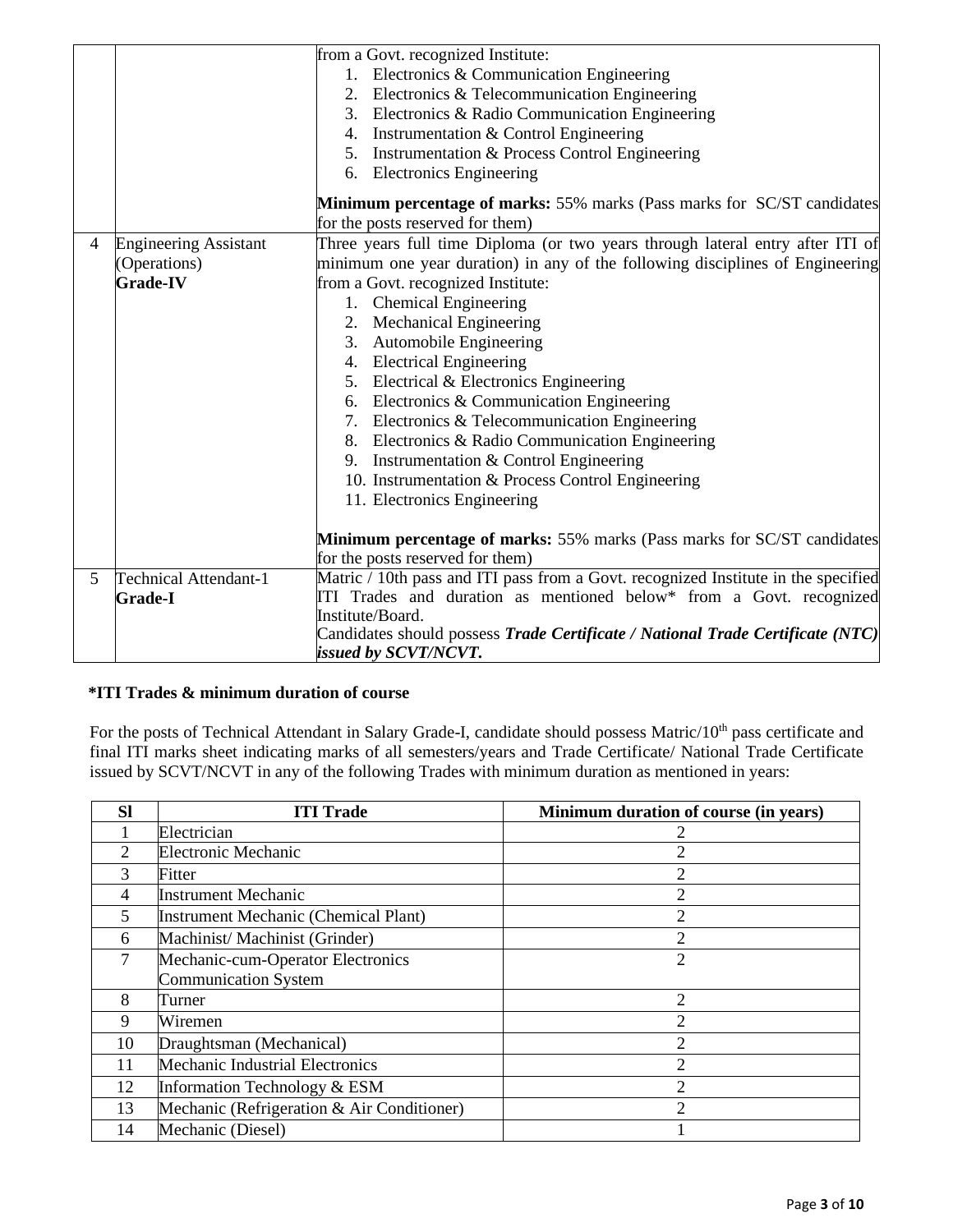|                |                              | from a Govt. recognized Institute:                                                 |  |  |  |  |  |
|----------------|------------------------------|------------------------------------------------------------------------------------|--|--|--|--|--|
|                |                              | 1. Electronics & Communication Engineering                                         |  |  |  |  |  |
|                |                              | 2. Electronics & Telecommunication Engineering                                     |  |  |  |  |  |
|                |                              | 3. Electronics & Radio Communication Engineering                                   |  |  |  |  |  |
|                |                              | 4. Instrumentation & Control Engineering                                           |  |  |  |  |  |
|                |                              | 5. Instrumentation & Process Control Engineering                                   |  |  |  |  |  |
|                |                              | 6. Electronics Engineering                                                         |  |  |  |  |  |
|                |                              | Minimum percentage of marks: 55% marks (Pass marks for SC/ST candidates            |  |  |  |  |  |
|                |                              | for the posts reserved for them)                                                   |  |  |  |  |  |
| $\overline{4}$ | <b>Engineering Assistant</b> | Three years full time Diploma (or two years through lateral entry after ITI of     |  |  |  |  |  |
|                | (Operations)                 | minimum one year duration) in any of the following disciplines of Engineering      |  |  |  |  |  |
|                | <b>Grade-IV</b>              | from a Govt. recognized Institute:                                                 |  |  |  |  |  |
|                |                              | 1. Chemical Engineering                                                            |  |  |  |  |  |
|                |                              | 2. Mechanical Engineering                                                          |  |  |  |  |  |
|                |                              | 3. Automobile Engineering                                                          |  |  |  |  |  |
|                |                              | 4. Electrical Engineering                                                          |  |  |  |  |  |
|                |                              | 5. Electrical & Electronics Engineering                                            |  |  |  |  |  |
|                |                              | 6. Electronics & Communication Engineering                                         |  |  |  |  |  |
|                |                              | 7. Electronics & Telecommunication Engineering                                     |  |  |  |  |  |
|                |                              | 8. Electronics & Radio Communication Engineering                                   |  |  |  |  |  |
|                |                              | 9. Instrumentation & Control Engineering                                           |  |  |  |  |  |
|                |                              | 10. Instrumentation & Process Control Engineering                                  |  |  |  |  |  |
|                |                              | 11. Electronics Engineering                                                        |  |  |  |  |  |
|                |                              |                                                                                    |  |  |  |  |  |
|                |                              | Minimum percentage of marks: 55% marks (Pass marks for SC/ST candidates            |  |  |  |  |  |
|                |                              | for the posts reserved for them)                                                   |  |  |  |  |  |
| 5              | <b>Technical Attendant-1</b> | Matric / 10th pass and ITI pass from a Govt. recognized Institute in the specified |  |  |  |  |  |
|                | <b>Grade-I</b>               | ITI Trades and duration as mentioned below* from a Govt. recognized                |  |  |  |  |  |
|                |                              | Institute/Board.                                                                   |  |  |  |  |  |
|                |                              | Candidates should possess Trade Certificate / National Trade Certificate (NTC)     |  |  |  |  |  |
|                |                              | <i>issued by SCVT/NCVT.</i>                                                        |  |  |  |  |  |

# **\*ITI Trades & minimum duration of course**

For the posts of Technical Attendant in Salary Grade-I, candidate should possess Matric/10<sup>th</sup> pass certificate and final ITI marks sheet indicating marks of all semesters/years and Trade Certificate/ National Trade Certificate issued by SCVT/NCVT in any of the following Trades with minimum duration as mentioned in years:

| <b>Sl</b> | <b>ITI Trade</b>                           | Minimum duration of course (in years) |
|-----------|--------------------------------------------|---------------------------------------|
|           | Electrician                                |                                       |
| 2         | <b>Electronic Mechanic</b>                 |                                       |
| 3         | Fitter                                     | $\overline{2}$                        |
| 4         | <b>Instrument Mechanic</b>                 | $\overline{2}$                        |
| 5         | Instrument Mechanic (Chemical Plant)       | $\overline{2}$                        |
| 6         | Machinist/ Machinist (Grinder)             | $\overline{2}$                        |
| 7         | Mechanic-cum-Operator Electronics          | $\overline{2}$                        |
|           | <b>Communication System</b>                |                                       |
| 8         | Turner                                     | $\overline{2}$                        |
| 9         | Wiremen                                    | $\overline{2}$                        |
| 10        | Draughtsman (Mechanical)                   | $\overline{2}$                        |
| 11        | Mechanic Industrial Electronics            | 2                                     |
| 12        | Information Technology & ESM               | $\overline{2}$                        |
| 13        | Mechanic (Refrigeration & Air Conditioner) |                                       |
| 14        | Mechanic (Diesel)                          |                                       |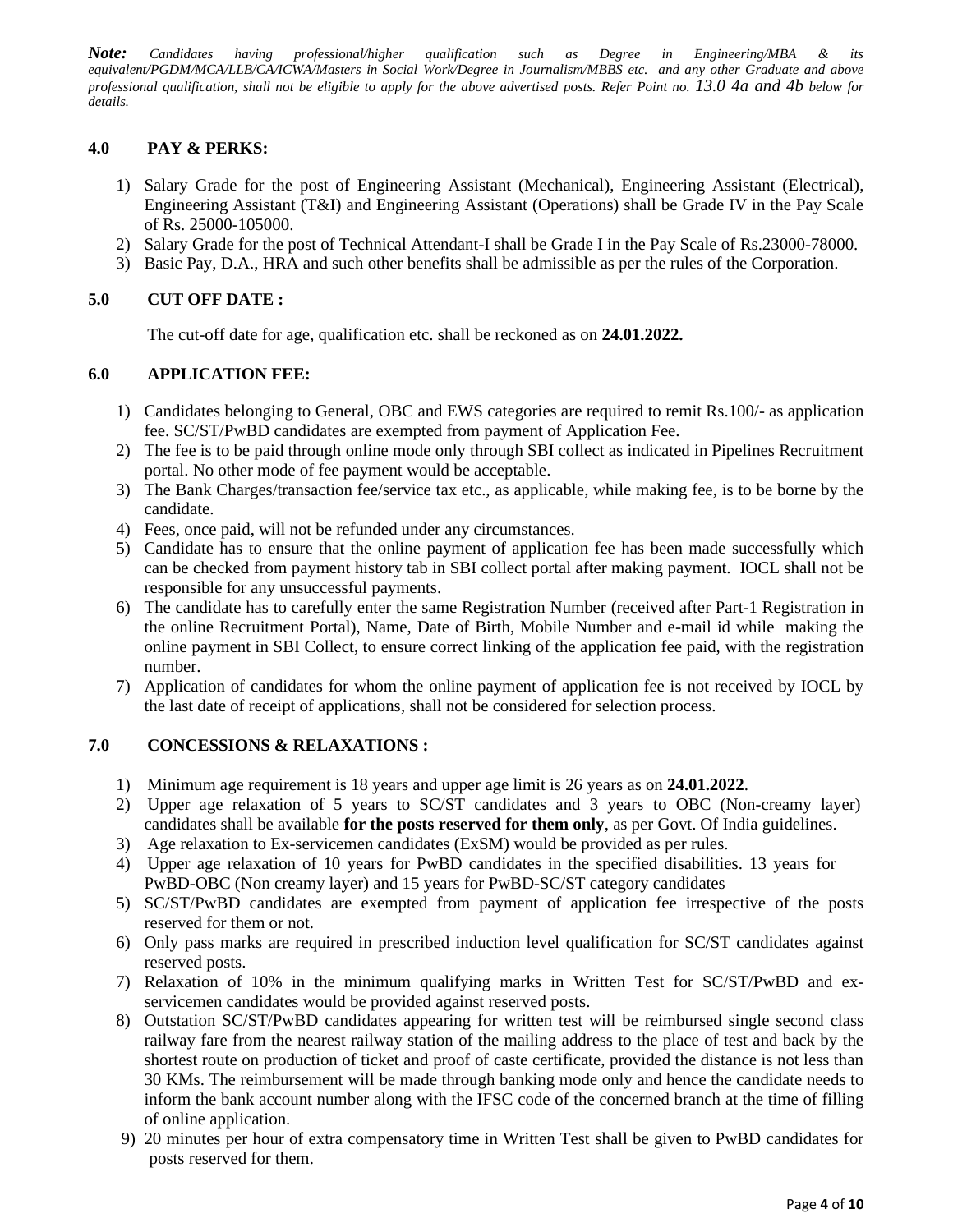*Note: Candidates having professional/higher qualification such as Degree in Engineering/MBA & its equivalent/PGDM/MCA/LLB/CA/ICWA/Masters in Social Work/Degree in Journalism/MBBS etc. and any other Graduate and above professional qualification, shall not be eligible to apply for the above advertised posts. Refer Point no. 13.0 4a and 4b below for details.*

## **4.0 PAY & PERKS:**

- 1) Salary Grade for the post of Engineering Assistant (Mechanical), Engineering Assistant (Electrical), Engineering Assistant (T&I) and Engineering Assistant (Operations) shall be Grade IV in the Pay Scale of Rs. 25000-105000.
- 2) Salary Grade for the post of Technical Attendant-I shall be Grade I in the Pay Scale of Rs.23000-78000.
- 3) Basic Pay, D.A., HRA and such other benefits shall be admissible as per the rules of the Corporation.

## **5.0 CUT OFF DATE :**

The cut-off date for age, qualification etc. shall be reckoned as on **24.01.2022.**

### **6.0 APPLICATION FEE:**

- 1) Candidates belonging to General, OBC and EWS categories are required to remit Rs.100/- as application fee. SC/ST/PwBD candidates are exempted from payment of Application Fee.
- 2) The fee is to be paid through online mode only through SBI collect as indicated in Pipelines Recruitment portal. No other mode of fee payment would be acceptable.
- 3) The Bank Charges/transaction fee/service tax etc., as applicable, while making fee, is to be borne by the candidate.
- 4) Fees, once paid, will not be refunded under any circumstances.
- 5) Candidate has to ensure that the online payment of application fee has been made successfully which can be checked from payment history tab in SBI collect portal after making payment. IOCL shall not be responsible for any unsuccessful payments.
- 6) The candidate has to carefully enter the same Registration Number (received after Part-1 Registration in the online Recruitment Portal), Name, Date of Birth, Mobile Number and e-mail id while making the online payment in SBI Collect, to ensure correct linking of the application fee paid, with the registration number.
- 7) Application of candidates for whom the online payment of application fee is not received by IOCL by the last date of receipt of applications, shall not be considered for selection process.

# **7.0 CONCESSIONS & RELAXATIONS :**

- 1) Minimum age requirement is 18 years and upper age limit is 26 years as on **24.01.2022**.
- 2) Upper age relaxation of 5 years to SC/ST candidates and 3 years to OBC (Non-creamy layer) candidates shall be available **for the posts reserved for them only**, as per Govt. Of India guidelines.
- 3) Age relaxation to Ex-servicemen candidates (ExSM) would be provided as per rules.
- 4) Upper age relaxation of 10 years for PwBD candidates in the specified disabilities. 13 years for PwBD-OBC (Non creamy layer) and 15 years for PwBD-SC/ST category candidates
- 5) SC/ST/PwBD candidates are exempted from payment of application fee irrespective of the posts reserved for them or not.
- 6) Only pass marks are required in prescribed induction level qualification for SC/ST candidates against reserved posts.
- 7) Relaxation of 10% in the minimum qualifying marks in Written Test for SC/ST/PwBD and exservicemen candidates would be provided against reserved posts.
- 8) Outstation SC/ST/PwBD candidates appearing for written test will be reimbursed single second class railway fare from the nearest railway station of the mailing address to the place of test and back by the shortest route on production of ticket and proof of caste certificate, provided the distance is not less than 30 KMs. The reimbursement will be made through banking mode only and hence the candidate needs to inform the bank account number along with the IFSC code of the concerned branch at the time of filling of online application.
- 9) 20 minutes per hour of extra compensatory time in Written Test shall be given to PwBD candidates for posts reserved for them.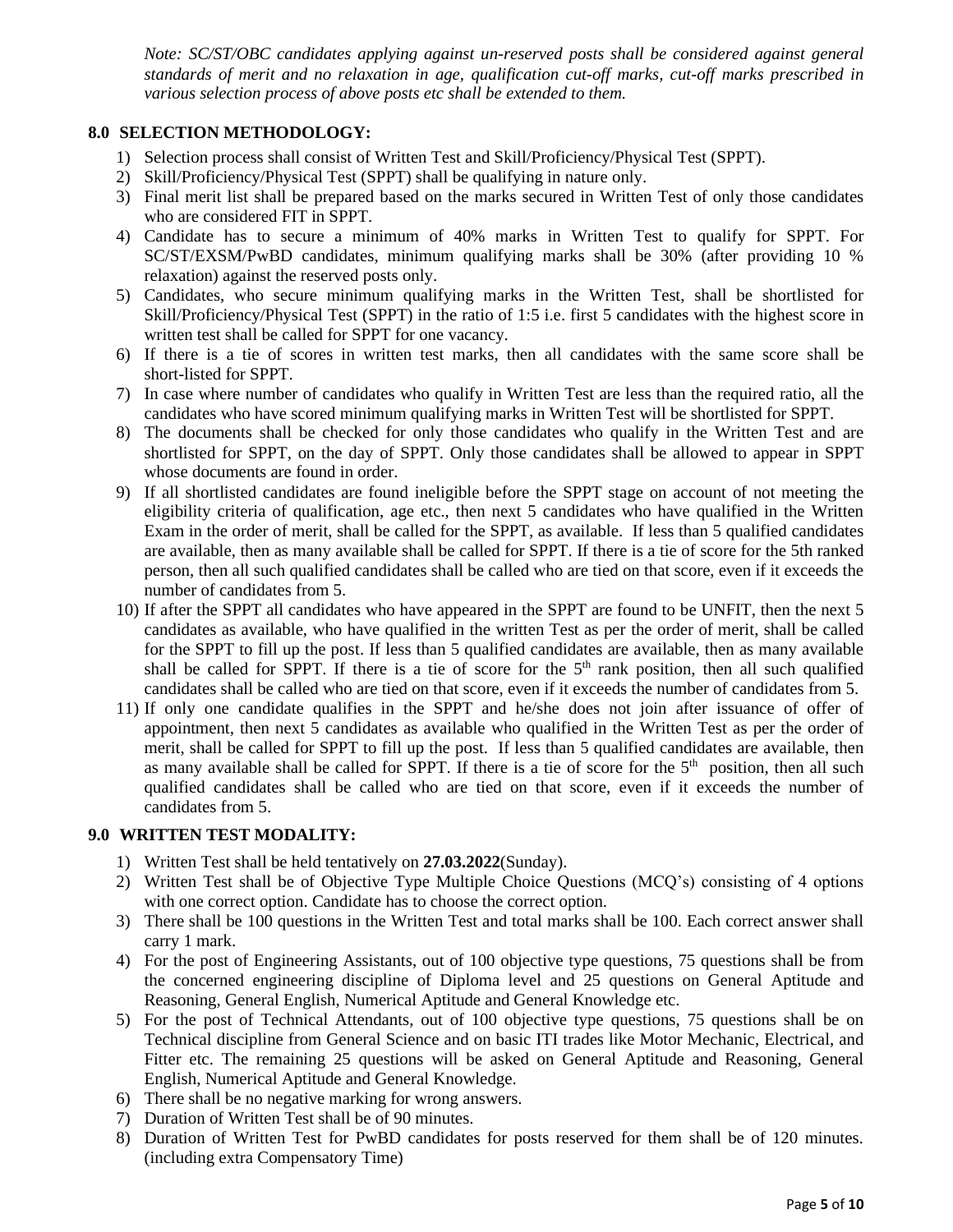*Note: SC/ST/OBC candidates applying against un-reserved posts shall be considered against general standards of merit and no relaxation in age, qualification cut-off marks, cut-off marks prescribed in various selection process of above posts etc shall be extended to them.*

## **8.0 SELECTION METHODOLOGY:**

- 1) Selection process shall consist of Written Test and Skill/Proficiency/Physical Test (SPPT).
- 2) Skill/Proficiency/Physical Test (SPPT) shall be qualifying in nature only.
- 3) Final merit list shall be prepared based on the marks secured in Written Test of only those candidates who are considered FIT in SPPT.
- 4) Candidate has to secure a minimum of 40% marks in Written Test to qualify for SPPT. For SC/ST/EXSM/PwBD candidates, minimum qualifying marks shall be 30% (after providing 10 % relaxation) against the reserved posts only.
- 5) Candidates, who secure minimum qualifying marks in the Written Test, shall be shortlisted for Skill/Proficiency/Physical Test (SPPT) in the ratio of 1:5 i.e. first 5 candidates with the highest score in written test shall be called for SPPT for one vacancy.
- 6) If there is a tie of scores in written test marks, then all candidates with the same score shall be short-listed for SPPT.
- 7) In case where number of candidates who qualify in Written Test are less than the required ratio, all the candidates who have scored minimum qualifying marks in Written Test will be shortlisted for SPPT.
- 8) The documents shall be checked for only those candidates who qualify in the Written Test and are shortlisted for SPPT, on the day of SPPT. Only those candidates shall be allowed to appear in SPPT whose documents are found in order.
- 9) If all shortlisted candidates are found ineligible before the SPPT stage on account of not meeting the eligibility criteria of qualification, age etc., then next 5 candidates who have qualified in the Written Exam in the order of merit, shall be called for the SPPT, as available. If less than 5 qualified candidates are available, then as many available shall be called for SPPT. If there is a tie of score for the 5th ranked person, then all such qualified candidates shall be called who are tied on that score, even if it exceeds the number of candidates from 5.
- 10) If after the SPPT all candidates who have appeared in the SPPT are found to be UNFIT, then the next 5 candidates as available, who have qualified in the written Test as per the order of merit, shall be called for the SPPT to fill up the post. If less than 5 qualified candidates are available, then as many available shall be called for SPPT. If there is a tie of score for the  $5<sup>th</sup>$  rank position, then all such qualified candidates shall be called who are tied on that score, even if it exceeds the number of candidates from 5.
- 11) If only one candidate qualifies in the SPPT and he/she does not join after issuance of offer of appointment, then next 5 candidates as available who qualified in the Written Test as per the order of merit, shall be called for SPPT to fill up the post. If less than 5 qualified candidates are available, then as many available shall be called for SPPT. If there is a tie of score for the  $5<sup>th</sup>$  position, then all such qualified candidates shall be called who are tied on that score, even if it exceeds the number of candidates from 5.

# **9.0 WRITTEN TEST MODALITY:**

- 1) Written Test shall be held tentatively on **27.03.2022**(Sunday).
- 2) Written Test shall be of Objective Type Multiple Choice Questions (MCQ's) consisting of 4 options with one correct option. Candidate has to choose the correct option.
- 3) There shall be 100 questions in the Written Test and total marks shall be 100. Each correct answer shall carry 1 mark.
- 4) For the post of Engineering Assistants, out of 100 objective type questions, 75 questions shall be from the concerned engineering discipline of Diploma level and 25 questions on General Aptitude and Reasoning, General English, Numerical Aptitude and General Knowledge etc.
- 5) For the post of Technical Attendants, out of 100 objective type questions, 75 questions shall be on Technical discipline from General Science and on basic ITI trades like Motor Mechanic, Electrical, and Fitter etc. The remaining 25 questions will be asked on General Aptitude and Reasoning, General English, Numerical Aptitude and General Knowledge.
- 6) There shall be no negative marking for wrong answers.
- 7) Duration of Written Test shall be of 90 minutes.
- 8) Duration of Written Test for PwBD candidates for posts reserved for them shall be of 120 minutes. (including extra Compensatory Time)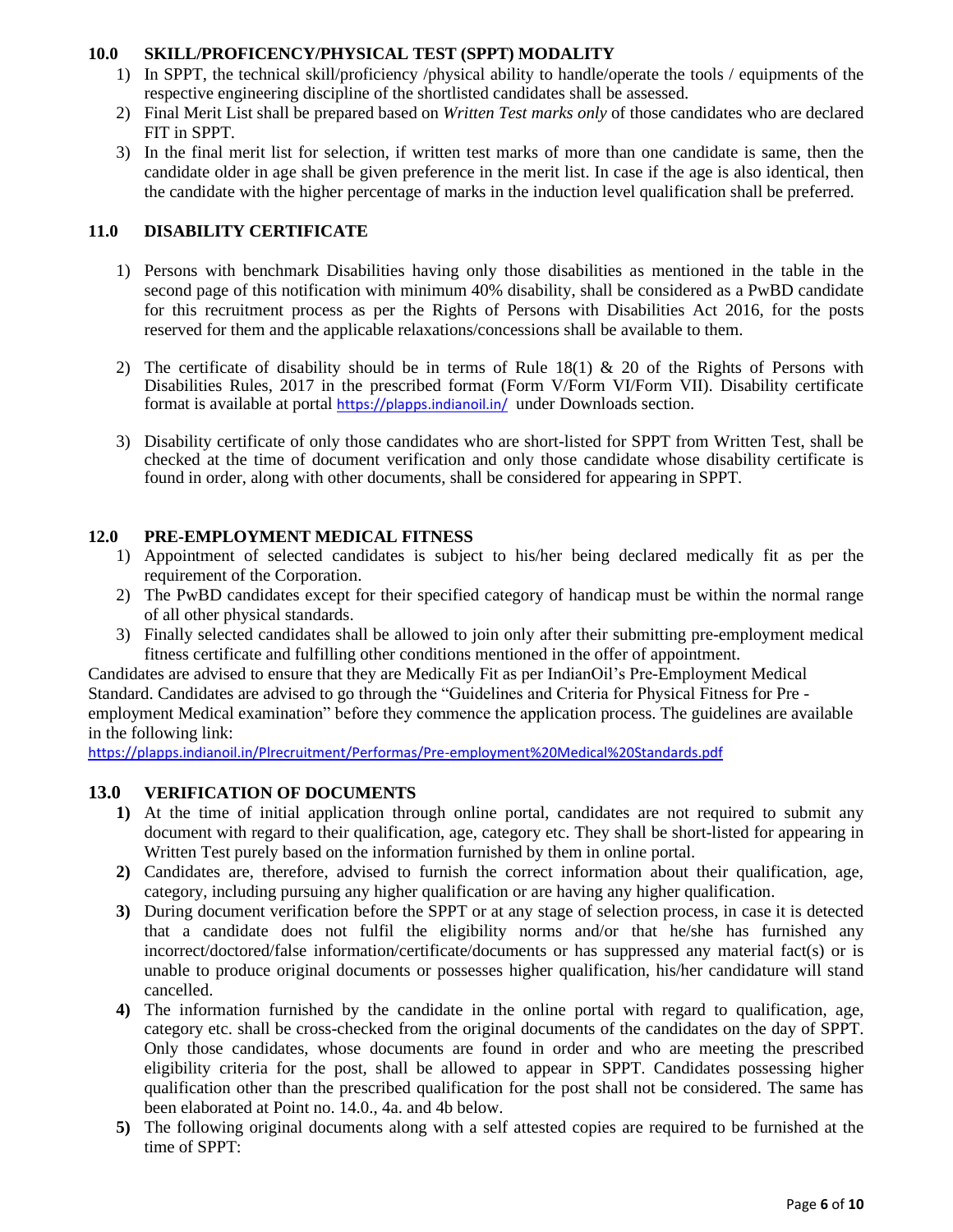# **10.0 SKILL/PROFICENCY/PHYSICAL TEST (SPPT) MODALITY**

- 1) In SPPT, the technical skill/proficiency /physical ability to handle/operate the tools / equipments of the respective engineering discipline of the shortlisted candidates shall be assessed.
- 2) Final Merit List shall be prepared based on *Written Test marks only* of those candidates who are declared FIT in SPPT.
- 3) In the final merit list for selection, if written test marks of more than one candidate is same, then the candidate older in age shall be given preference in the merit list. In case if the age is also identical, then the candidate with the higher percentage of marks in the induction level qualification shall be preferred.

# **11.0 DISABILITY CERTIFICATE**

- 1) Persons with benchmark Disabilities having only those disabilities as mentioned in the table in the second page of this notification with minimum 40% disability, shall be considered as a PwBD candidate for this recruitment process as per the Rights of Persons with Disabilities Act 2016, for the posts reserved for them and the applicable relaxations/concessions shall be available to them.
- 2) The certificate of disability should be in terms of Rule 18(1) & 20 of the Rights of Persons with Disabilities Rules, 2017 in the prescribed format (Form V/Form VI/Form VII). Disability certificate format is available at portal <https://plapps.indianoil.in/> under Downloads section.
- 3) Disability certificate of only those candidates who are short-listed for SPPT from Written Test, shall be checked at the time of document verification and only those candidate whose disability certificate is found in order, along with other documents, shall be considered for appearing in SPPT.

## **12.0 PRE-EMPLOYMENT MEDICAL FITNESS**

- 1) Appointment of selected candidates is subject to his/her being declared medically fit as per the requirement of the Corporation.
- 2) The PwBD candidates except for their specified category of handicap must be within the normal range of all other physical standards.
- 3) Finally selected candidates shall be allowed to join only after their submitting pre-employment medical fitness certificate and fulfilling other conditions mentioned in the offer of appointment.

Candidates are advised to ensure that they are Medically Fit as per IndianOil's Pre-Employment Medical Standard. Candidates are advised to go through the "Guidelines and Criteria for Physical Fitness for Pre employment Medical examination" before they commence the application process. The guidelines are available in the following link:

<https://plapps.indianoil.in/Plrecruitment/Performas/Pre-employment%20Medical%20Standards.pdf>

### **13.0 VERIFICATION OF DOCUMENTS**

- **1)** At the time of initial application through online portal, candidates are not required to submit any document with regard to their qualification, age, category etc. They shall be short-listed for appearing in Written Test purely based on the information furnished by them in online portal.
- **2)** Candidates are, therefore, advised to furnish the correct information about their qualification, age, category, including pursuing any higher qualification or are having any higher qualification.
- **3)** During document verification before the SPPT or at any stage of selection process, in case it is detected that a candidate does not fulfil the eligibility norms and/or that he/she has furnished any incorrect/doctored/false information/certificate/documents or has suppressed any material fact(s) or is unable to produce original documents or possesses higher qualification, his/her candidature will stand cancelled.
- **4)** The information furnished by the candidate in the online portal with regard to qualification, age, category etc. shall be cross-checked from the original documents of the candidates on the day of SPPT. Only those candidates, whose documents are found in order and who are meeting the prescribed eligibility criteria for the post, shall be allowed to appear in SPPT. Candidates possessing higher qualification other than the prescribed qualification for the post shall not be considered. The same has been elaborated at Point no. 14.0., 4a. and 4b below.
- **5)** The following original documents along with a self attested copies are required to be furnished at the time of SPPT: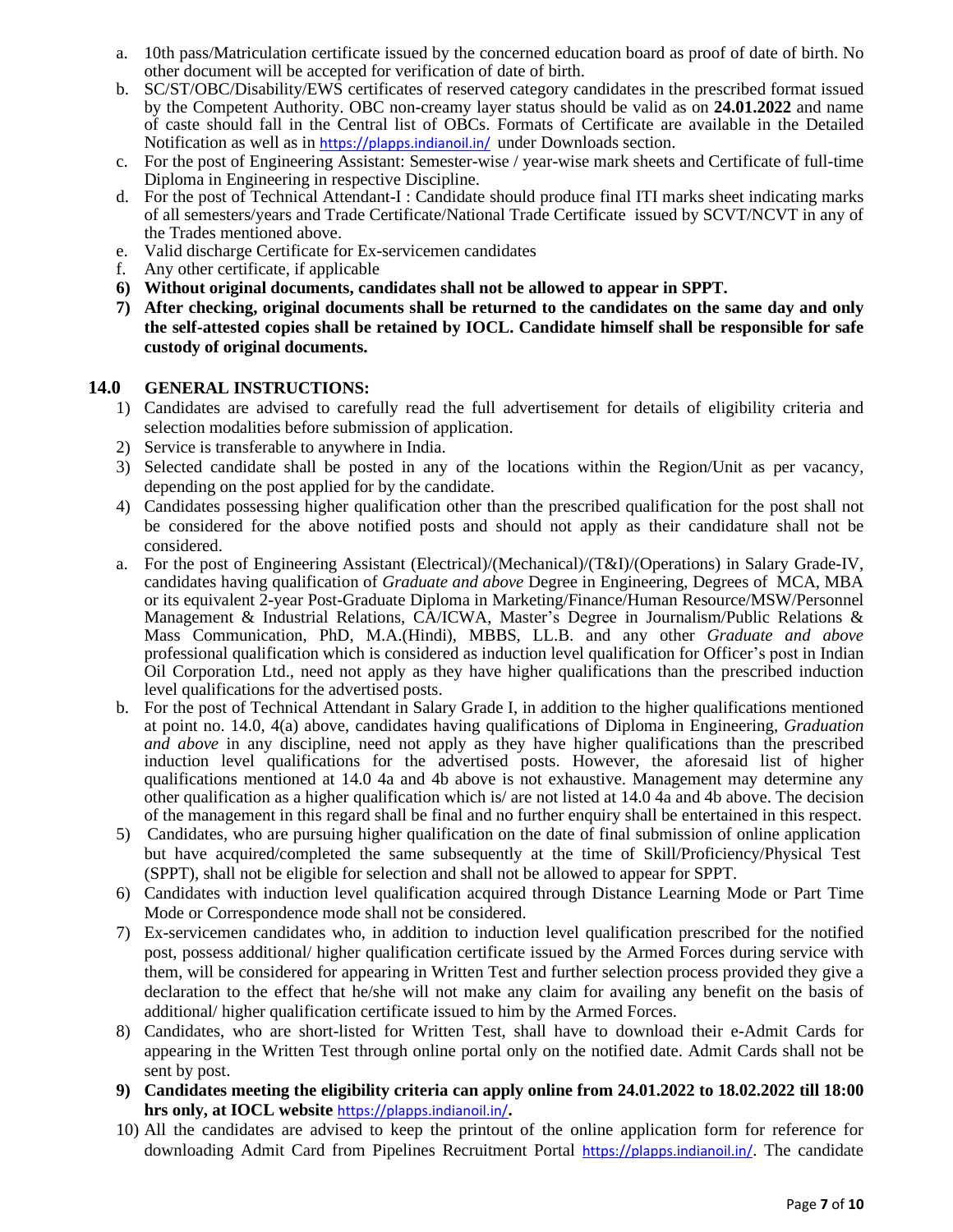- a. 10th pass/Matriculation certificate issued by the concerned education board as proof of date of birth. No other document will be accepted for verification of date of birth.
- b. SC/ST/OBC/Disability/EWS certificates of reserved category candidates in the prescribed format issued by the Competent Authority. OBC non-creamy layer status should be valid as on **24.01.2022** and name of caste should fall in the Central list of OBCs. Formats of Certificate are available in the Detailed Notification as well as in <https://plapps.indianoil.in/>under Downloads section.
- c. For the post of Engineering Assistant: Semester-wise / year-wise mark sheets and Certificate of full-time Diploma in Engineering in respective Discipline.
- d. For the post of Technical Attendant-I : Candidate should produce final ITI marks sheet indicating marks of all semesters/years and Trade Certificate/National Trade Certificate issued by SCVT/NCVT in any of the Trades mentioned above.
- e. Valid discharge Certificate for Ex-servicemen candidates
- f. Any other certificate, if applicable
- **6) Without original documents, candidates shall not be allowed to appear in SPPT.**
- **7) After checking, original documents shall be returned to the candidates on the same day and only the self-attested copies shall be retained by IOCL. Candidate himself shall be responsible for safe custody of original documents.**

### **14.0 GENERAL INSTRUCTIONS:**

- 1) Candidates are advised to carefully read the full advertisement for details of eligibility criteria and selection modalities before submission of application.
- 2) Service is transferable to anywhere in India.
- 3) Selected candidate shall be posted in any of the locations within the Region/Unit as per vacancy, depending on the post applied for by the candidate.
- 4) Candidates possessing higher qualification other than the prescribed qualification for the post shall not be considered for the above notified posts and should not apply as their candidature shall not be considered.
- a. For the post of Engineering Assistant (Electrical)/(Mechanical)/(T&I)/(Operations) in Salary Grade-IV, candidates having qualification of *Graduate and above* Degree in Engineering, Degrees of MCA, MBA or its equivalent 2-year Post-Graduate Diploma in Marketing/Finance/Human Resource/MSW/Personnel Management & Industrial Relations, CA/ICWA, Master's Degree in Journalism/Public Relations & Mass Communication, PhD, M.A.(Hindi), MBBS, LL.B. and any other *Graduate and above* professional qualification which is considered as induction level qualification for Officer's post in Indian Oil Corporation Ltd., need not apply as they have higher qualifications than the prescribed induction level qualifications for the advertised posts.
- b. For the post of Technical Attendant in Salary Grade I, in addition to the higher qualifications mentioned at point no. 14.0, 4(a) above, candidates having qualifications of Diploma in Engineering, *Graduation and above* in any discipline, need not apply as they have higher qualifications than the prescribed induction level qualifications for the advertised posts. However, the aforesaid list of higher qualifications mentioned at 14.0 4a and 4b above is not exhaustive. Management may determine any other qualification as a higher qualification which is/ are not listed at 14.0 4a and 4b above. The decision of the management in this regard shall be final and no further enquiry shall be entertained in this respect.
- 5) Candidates, who are pursuing higher qualification on the date of final submission of online application but have acquired/completed the same subsequently at the time of Skill/Proficiency/Physical Test (SPPT), shall not be eligible for selection and shall not be allowed to appear for SPPT.
- 6) Candidates with induction level qualification acquired through Distance Learning Mode or Part Time Mode or Correspondence mode shall not be considered.
- 7) Ex-servicemen candidates who, in addition to induction level qualification prescribed for the notified post, possess additional/ higher qualification certificate issued by the Armed Forces during service with them, will be considered for appearing in Written Test and further selection process provided they give a declaration to the effect that he/she will not make any claim for availing any benefit on the basis of additional/ higher qualification certificate issued to him by the Armed Forces.
- 8) Candidates, who are short-listed for Written Test, shall have to download their e-Admit Cards for appearing in the Written Test through online portal only on the notified date. Admit Cards shall not be sent by post.
- **9) Candidates meeting the eligibility criteria can apply online from 24.01.2022 to 18.02.2022 till 18:00 hrs only, at IOCL website** <https://plapps.indianoil.in/>**.**
- 10) All the candidates are advised to keep the printout of the online application form for reference for downloading Admit Card from Pipelines Recruitment Portal <https://plapps.indianoil.in/>. The candidate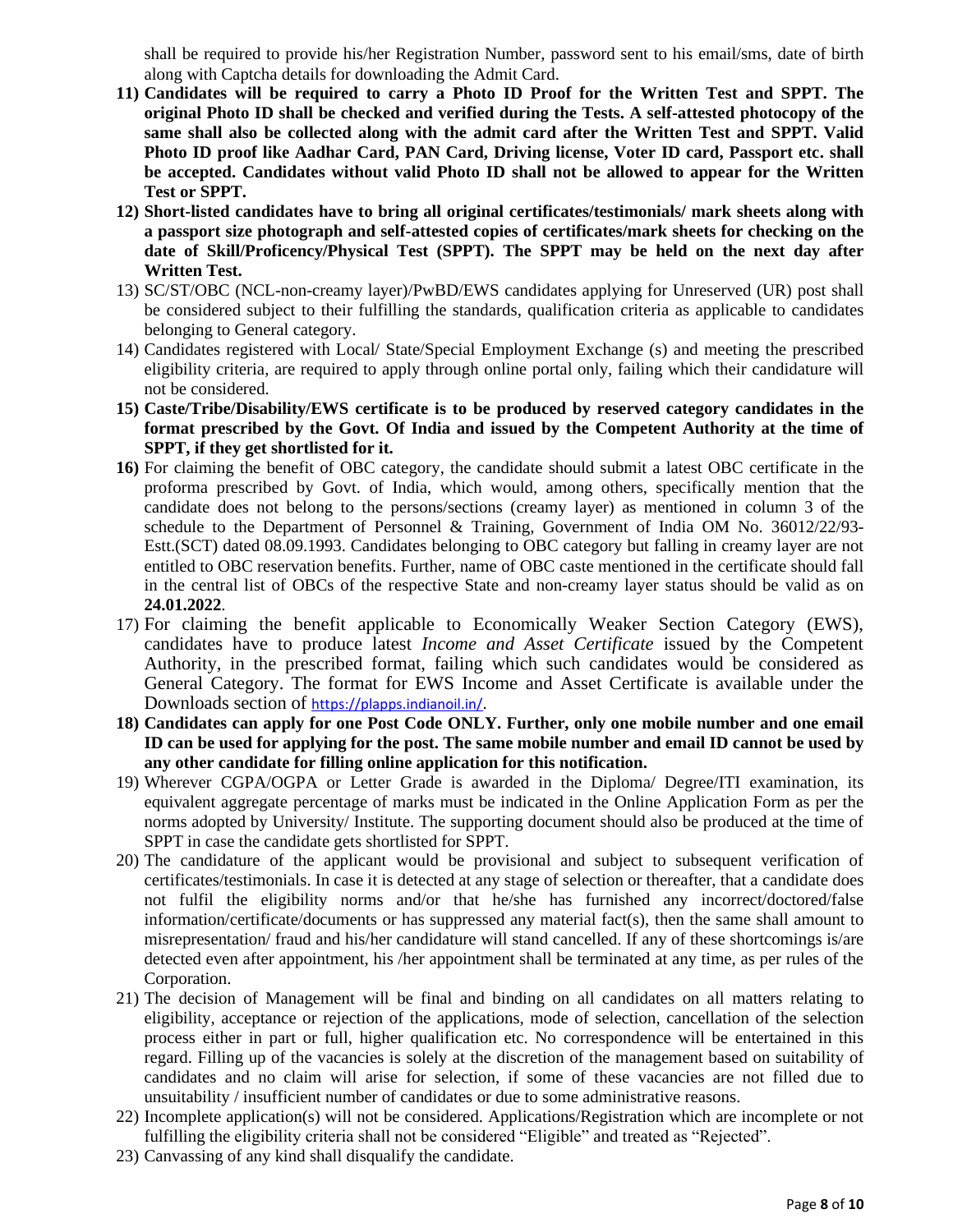shall be required to provide his/her Registration Number, password sent to his email/sms, date of birth along with Captcha details for downloading the Admit Card.

- **11) Candidates will be required to carry a Photo ID Proof for the Written Test and SPPT. The original Photo ID shall be checked and verified during the Tests. A self-attested photocopy of the same shall also be collected along with the admit card after the Written Test and SPPT. Valid Photo ID proof like Aadhar Card, PAN Card, Driving license, Voter ID card, Passport etc. shall be accepted. Candidates without valid Photo ID shall not be allowed to appear for the Written Test or SPPT.**
- **12) Short-listed candidates have to bring all original certificates/testimonials/ mark sheets along with a passport size photograph and self-attested copies of certificates/mark sheets for checking on the date of Skill/Proficency/Physical Test (SPPT). The SPPT may be held on the next day after Written Test.**
- 13) SC/ST/OBC (NCL-non-creamy layer)/PwBD/EWS candidates applying for Unreserved (UR) post shall be considered subject to their fulfilling the standards, qualification criteria as applicable to candidates belonging to General category.
- 14) Candidates registered with Local/ State/Special Employment Exchange (s) and meeting the prescribed eligibility criteria, are required to apply through online portal only, failing which their candidature will not be considered.
- **15) Caste/Tribe/Disability/EWS certificate is to be produced by reserved category candidates in the format prescribed by the Govt. Of India and issued by the Competent Authority at the time of SPPT, if they get shortlisted for it.**
- **16)** For claiming the benefit of OBC category, the candidate should submit a latest OBC certificate in the proforma prescribed by Govt. of India, which would, among others, specifically mention that the candidate does not belong to the persons/sections (creamy layer) as mentioned in column 3 of the schedule to the Department of Personnel & Training, Government of India OM No. 36012/22/93- Estt.(SCT) dated 08.09.1993. Candidates belonging to OBC category but falling in creamy layer are not entitled to OBC reservation benefits. Further, name of OBC caste mentioned in the certificate should fall in the central list of OBCs of the respective State and non-creamy layer status should be valid as on **24.01.2022**.
- 17) For claiming the benefit applicable to Economically Weaker Section Category (EWS), candidates have to produce latest *Income and Asset Certificate* issued by the Competent Authority, in the prescribed format, failing which such candidates would be considered as General Category. The format for EWS Income and Asset Certificate is available under the Downloads section of <https://plapps.indianoil.in/>.
- **18) Candidates can apply for one Post Code ONLY. Further, only one mobile number and one email ID can be used for applying for the post. The same mobile number and email ID cannot be used by any other candidate for filling online application for this notification.**
- 19) Wherever CGPA/OGPA or Letter Grade is awarded in the Diploma/ Degree/ITI examination, its equivalent aggregate percentage of marks must be indicated in the Online Application Form as per the norms adopted by University/ Institute. The supporting document should also be produced at the time of SPPT in case the candidate gets shortlisted for SPPT.
- 20) The candidature of the applicant would be provisional and subject to subsequent verification of certificates/testimonials. In case it is detected at any stage of selection or thereafter, that a candidate does not fulfil the eligibility norms and/or that he/she has furnished any incorrect/doctored/false information/certificate/documents or has suppressed any material fact(s), then the same shall amount to misrepresentation/ fraud and his/her candidature will stand cancelled. If any of these shortcomings is/are detected even after appointment, his /her appointment shall be terminated at any time, as per rules of the Corporation.
- 21) The decision of Management will be final and binding on all candidates on all matters relating to eligibility, acceptance or rejection of the applications, mode of selection, cancellation of the selection process either in part or full, higher qualification etc. No correspondence will be entertained in this regard. Filling up of the vacancies is solely at the discretion of the management based on suitability of candidates and no claim will arise for selection, if some of these vacancies are not filled due to unsuitability / insufficient number of candidates or due to some administrative reasons.
- 22) Incomplete application(s) will not be considered. Applications/Registration which are incomplete or not fulfilling the eligibility criteria shall not be considered "Eligible" and treated as "Rejected".
- 23) Canvassing of any kind shall disqualify the candidate.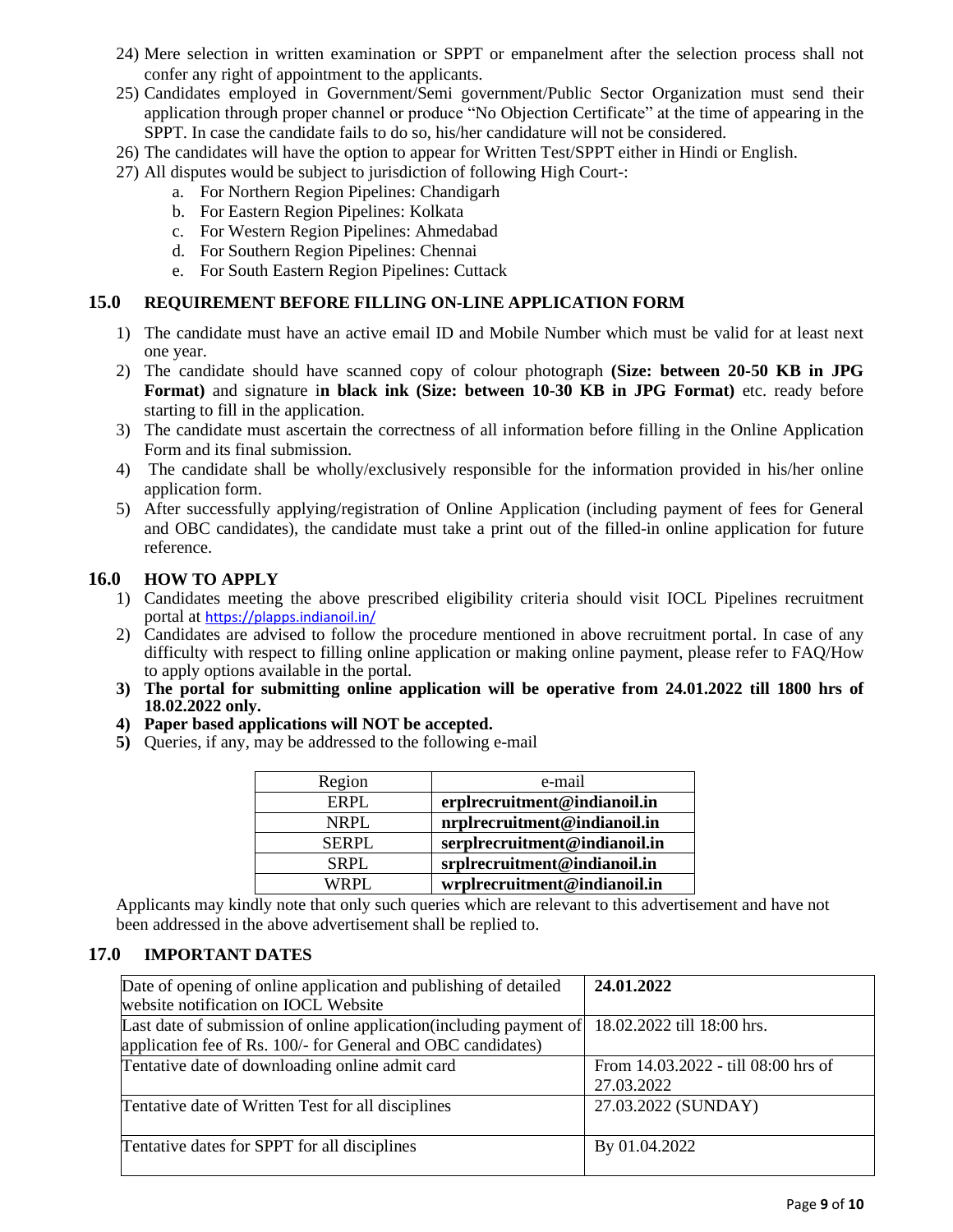- 24) Mere selection in written examination or SPPT or empanelment after the selection process shall not confer any right of appointment to the applicants.
- 25) Candidates employed in Government/Semi government/Public Sector Organization must send their application through proper channel or produce "No Objection Certificate" at the time of appearing in the SPPT. In case the candidate fails to do so, his/her candidature will not be considered.
- 26) The candidates will have the option to appear for Written Test/SPPT either in Hindi or English.
- 27) All disputes would be subject to jurisdiction of following High Court-:
	- a. For Northern Region Pipelines: Chandigarh
	- b. For Eastern Region Pipelines: Kolkata
	- c. For Western Region Pipelines: Ahmedabad
	- d. For Southern Region Pipelines: Chennai
	- e. For South Eastern Region Pipelines: Cuttack

#### **15.0 REQUIREMENT BEFORE FILLING ON-LINE APPLICATION FORM**

- 1) The candidate must have an active email ID and Mobile Number which must be valid for at least next one year.
- 2) The candidate should have scanned copy of colour photograph **(Size: between 20-50 KB in JPG Format)** and signature i**n black ink (Size: between 10-30 KB in JPG Format)** etc. ready before starting to fill in the application.
- 3) The candidate must ascertain the correctness of all information before filling in the Online Application Form and its final submission.
- 4) The candidate shall be wholly/exclusively responsible for the information provided in his/her online application form.
- 5) After successfully applying/registration of Online Application (including payment of fees for General and OBC candidates), the candidate must take a print out of the filled-in online application for future reference.

### **16.0 HOW TO APPLY**

- 1) Candidates meeting the above prescribed eligibility criteria should visit IOCL Pipelines recruitment portal at <https://plapps.indianoil.in/>
- 2) Candidates are advised to follow the procedure mentioned in above recruitment portal. In case of any difficulty with respect to filling online application or making online payment, please refer to FAQ/How to apply options available in the portal.
- **3) The portal for submitting online application will be operative from 24.01.2022 till 1800 hrs of 18.02.2022 only.**
- **4) Paper based applications will NOT be accepted.**
- **5)** Queries, if any, may be addressed to the following e-mail

| Region       | e-mail                        |
|--------------|-------------------------------|
| ERPL         | erplrecruitment@indianoil.in  |
| NRPL         | nrplrecruitment@indianoil.in  |
| <b>SERPL</b> | serplrecruitment@indianoil.in |
| SRPL         | srplrecruitment@indianoil.in  |
| WRPL.        | wrplrecruitment@indianoil.in  |

Applicants may kindly note that only such queries which are relevant to this advertisement and have not been addressed in the above advertisement shall be replied to.

# **17.0 IMPORTANT DATES**

| Date of opening of online application and publishing of detailed    | 24.01.2022                          |  |  |  |
|---------------------------------------------------------------------|-------------------------------------|--|--|--|
| website notification on IOCL Website                                |                                     |  |  |  |
| Last date of submission of online application (including payment of | 18.02.2022 till 18:00 hrs.          |  |  |  |
| application fee of Rs. 100/- for General and OBC candidates)        |                                     |  |  |  |
| Tentative date of downloading online admit card                     | From 14.03.2022 - till 08:00 hrs of |  |  |  |
|                                                                     | 27.03.2022                          |  |  |  |
| Tentative date of Written Test for all disciplines                  | 27.03.2022 (SUNDAY)                 |  |  |  |
|                                                                     |                                     |  |  |  |
| Tentative dates for SPPT for all disciplines                        | By 01.04.2022                       |  |  |  |
|                                                                     |                                     |  |  |  |